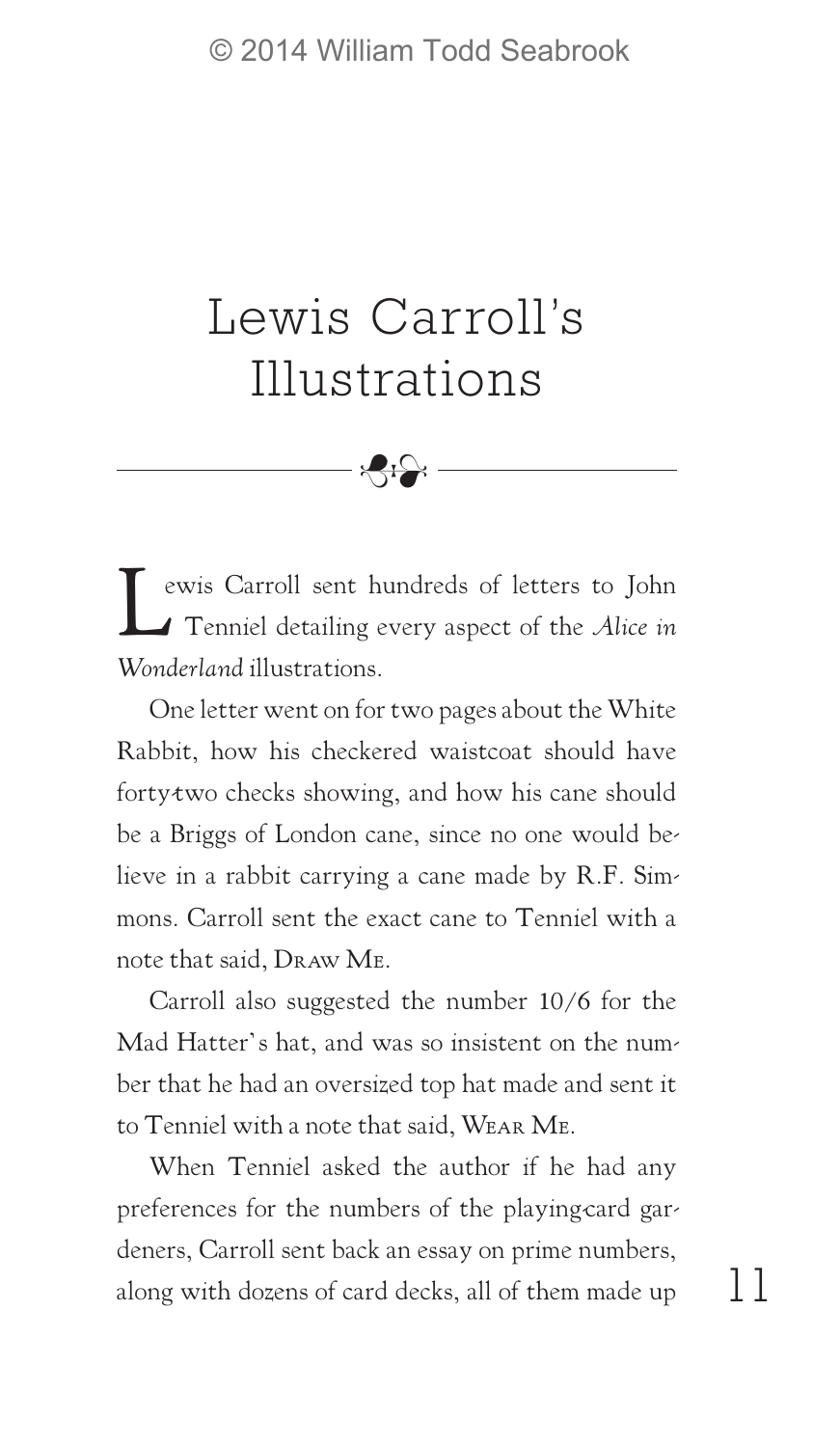## Lewis Carroll's Illustrations

8

Lewis Carroll sent hundreds of letters to John Tenniel detailing every aspect of the *Alice in Wonderland* illustrations.

One letter went on for two pages about the White Rabbit, how his checkered waistcoat should have forty-two checks showing, and how his cane should be a Briggs of London cane, since no one would believe in a rabbit carrying a cane made by R.F. Simmons. Carroll sent the exact cane to Tenniel with a note that said, Draw Me.

Carroll also suggested the number 10/6 for the Mad Hatter's hat, and was so insistent on the number that he had an oversized top hat made and sent it to Tenniel with a note that said, Wear Me.

When Tenniel asked the author if he had any preferences for the numbers of the playing-card gardeners, Carroll sent back an essay on prime numbers, along with dozens of card decks, all of them made up

11